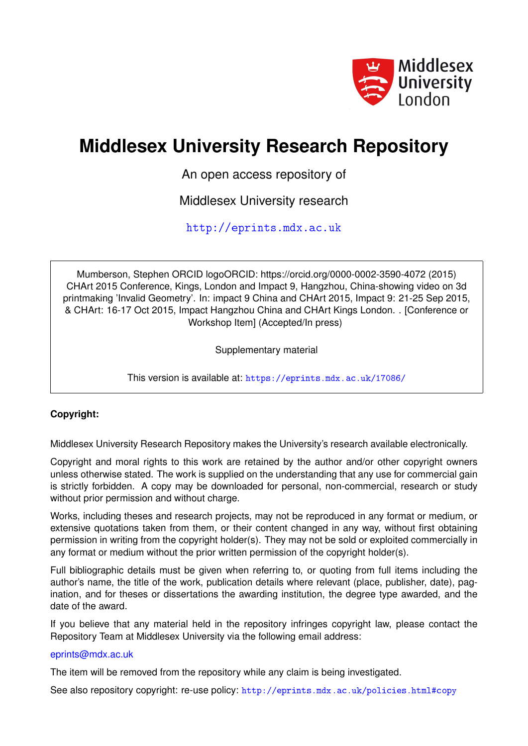

### **Middlesex University Research Repository**

An open access repository of

Middlesex University research

<http://eprints.mdx.ac.uk>

Mumberson, Stephen ORCID logoORCID: https://orcid.org/0000-0002-3590-4072 (2015) CHArt 2015 Conference, Kings, London and Impact 9, Hangzhou, China-showing video on 3d printmaking 'Invalid Geometry'. In: impact 9 China and CHArt 2015, Impact 9: 21-25 Sep 2015, & CHArt: 16-17 Oct 2015, Impact Hangzhou China and CHArt Kings London. . [Conference or Workshop Item] (Accepted/In press)

Supplementary material

This version is available at: <https://eprints.mdx.ac.uk/17086/>

#### **Copyright:**

Middlesex University Research Repository makes the University's research available electronically.

Copyright and moral rights to this work are retained by the author and/or other copyright owners unless otherwise stated. The work is supplied on the understanding that any use for commercial gain is strictly forbidden. A copy may be downloaded for personal, non-commercial, research or study without prior permission and without charge.

Works, including theses and research projects, may not be reproduced in any format or medium, or extensive quotations taken from them, or their content changed in any way, without first obtaining permission in writing from the copyright holder(s). They may not be sold or exploited commercially in any format or medium without the prior written permission of the copyright holder(s).

Full bibliographic details must be given when referring to, or quoting from full items including the author's name, the title of the work, publication details where relevant (place, publisher, date), pagination, and for theses or dissertations the awarding institution, the degree type awarded, and the date of the award.

If you believe that any material held in the repository infringes copyright law, please contact the Repository Team at Middlesex University via the following email address:

#### [eprints@mdx.ac.uk](mailto:eprints@mdx.ac.uk)

The item will be removed from the repository while any claim is being investigated.

See also repository copyright: re-use policy: <http://eprints.mdx.ac.uk/policies.html#copy>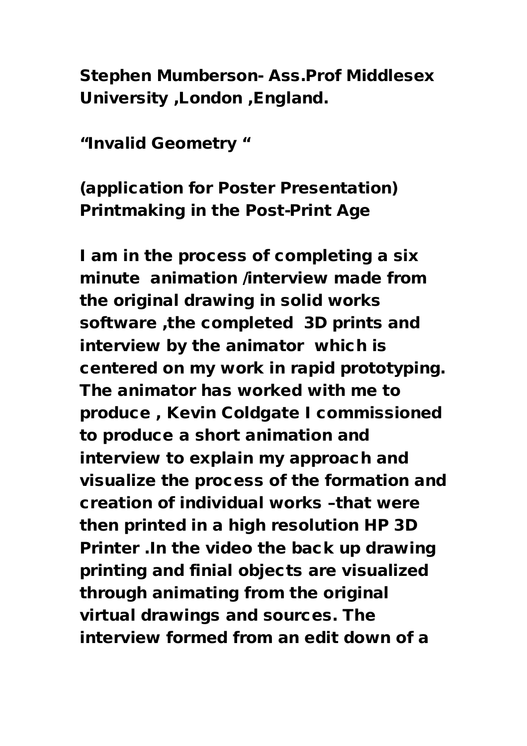Stephen Mumberson- Ass.Prof Middlesex University ,London ,England.

"Invalid Geometry "

## (application for Poster Presentation) Printmaking in the Post-Print Age

I am in the process of completing a six minute animation /interview made from the original drawing in solid works software ,the completed 3D prints and interview by the animator which is centered on my work in rapid prototyping. The animator has worked with me to produce , Kevin Coldgate I commissioned to produce a short animation and interview to explain my approach and visualize the process of the formation and creation of individual works –that were then printed in a high resolution HP 3D Printer .In the video the back up drawing printing and finial objects are visualized through animating from the original virtual drawings and sources. The interview formed from an edit down of a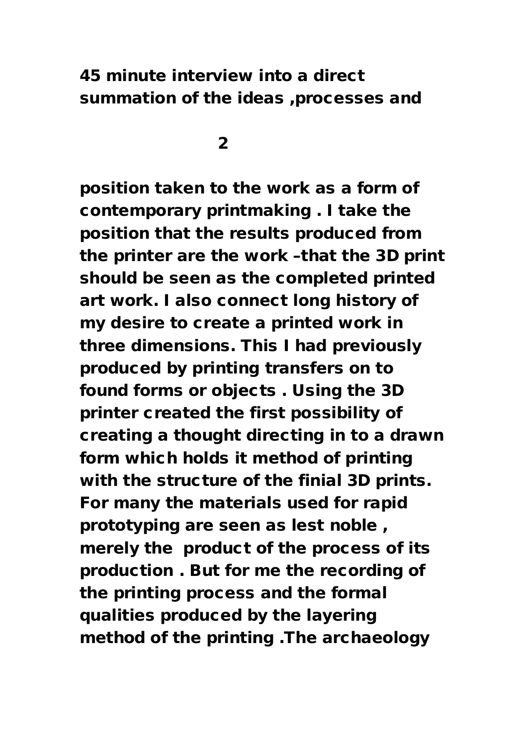### 45 minute interview into a direct summation of the ideas ,processes and

<u>2</u>

position taken to the work as a form of contemporary printmaking . I take the position that the results produced from the printer are the work –that the 3D print should be seen as the completed printed art work. I also connect long history of my desire to create a printed work in three dimensions. This I had previously produced by printing transfers on to found forms or objects . Using the 3D printer created the first possibility of creating a thought directing in to a drawn form which holds it method of printing with the structure of the finial 3D prints. For many the materials used for rapid prototyping are seen as lest noble , merely the product of the process of its production . But for me the recording of the printing process and the formal qualities produced by the layering method of the printing .The archaeology